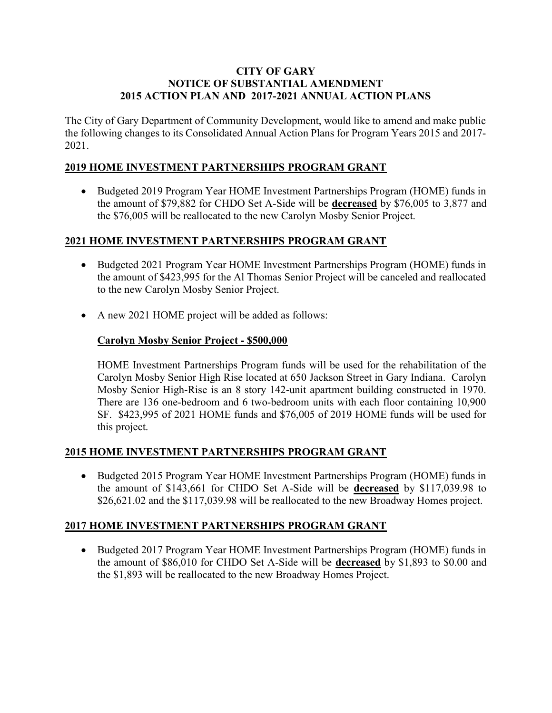#### CITY OF GARY NOTICE OF SUBSTANTIAL AMENDMENT 2015 ACTION PLAN AND 2017-2021 ANNUAL ACTION PLANS

The City of Gary Department of Community Development, would like to amend and make public the following changes to its Consolidated Annual Action Plans for Program Years 2015 and 2017- 2021.

## 2019 HOME INVESTMENT PARTNERSHIPS PROGRAM GRANT

• Budgeted 2019 Program Year HOME Investment Partnerships Program (HOME) funds in the amount of \$79,882 for CHDO Set A-Side will be decreased by \$76,005 to 3,877 and the \$76,005 will be reallocated to the new Carolyn Mosby Senior Project.

### 2021 HOME INVESTMENT PARTNERSHIPS PROGRAM GRANT

- Budgeted 2021 Program Year HOME Investment Partnerships Program (HOME) funds in the amount of \$423,995 for the Al Thomas Senior Project will be canceled and reallocated to the new Carolyn Mosby Senior Project.
- A new 2021 HOME project will be added as follows:

## Carolyn Mosby Senior Project - \$500,000

HOME Investment Partnerships Program funds will be used for the rehabilitation of the Carolyn Mosby Senior High Rise located at 650 Jackson Street in Gary Indiana. Carolyn Mosby Senior High-Rise is an 8 story 142-unit apartment building constructed in 1970. There are 136 one-bedroom and 6 two-bedroom units with each floor containing 10,900 SF. \$423,995 of 2021 HOME funds and \$76,005 of 2019 HOME funds will be used for this project.

### 2015 HOME INVESTMENT PARTNERSHIPS PROGRAM GRANT

 Budgeted 2015 Program Year HOME Investment Partnerships Program (HOME) funds in the amount of \$143,661 for CHDO Set A-Side will be decreased by \$117,039.98 to \$26,621.02 and the \$117,039.98 will be reallocated to the new Broadway Homes project.

### 2017 HOME INVESTMENT PARTNERSHIPS PROGRAM GRANT

• Budgeted 2017 Program Year HOME Investment Partnerships Program (HOME) funds in the amount of \$86,010 for CHDO Set A-Side will be decreased by \$1,893 to \$0.00 and the \$1,893 will be reallocated to the new Broadway Homes Project.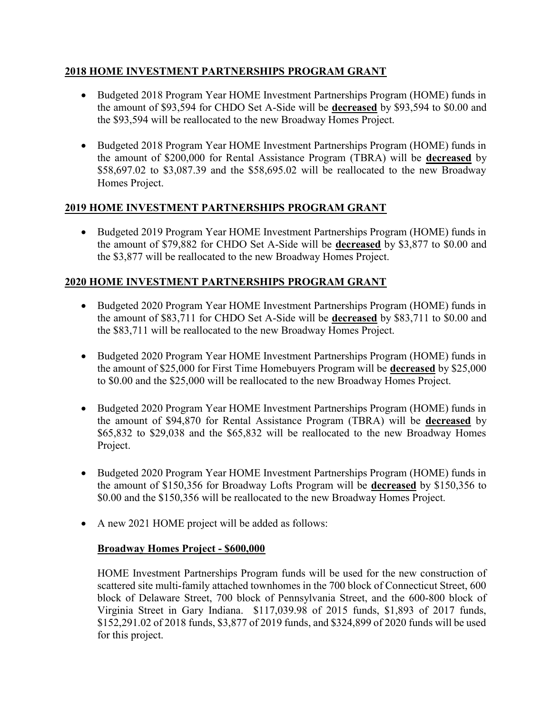### 2018 HOME INVESTMENT PARTNERSHIPS PROGRAM GRANT

- Budgeted 2018 Program Year HOME Investment Partnerships Program (HOME) funds in the amount of \$93,594 for CHDO Set A-Side will be decreased by \$93,594 to \$0.00 and the \$93,594 will be reallocated to the new Broadway Homes Project.
- Budgeted 2018 Program Year HOME Investment Partnerships Program (HOME) funds in the amount of \$200,000 for Rental Assistance Program (TBRA) will be decreased by \$58,697.02 to \$3,087.39 and the \$58,695.02 will be reallocated to the new Broadway Homes Project.

# 2019 HOME INVESTMENT PARTNERSHIPS PROGRAM GRANT

• Budgeted 2019 Program Year HOME Investment Partnerships Program (HOME) funds in the amount of \$79,882 for CHDO Set A-Side will be decreased by \$3,877 to \$0.00 and the \$3,877 will be reallocated to the new Broadway Homes Project.

# 2020 HOME INVESTMENT PARTNERSHIPS PROGRAM GRANT

- Budgeted 2020 Program Year HOME Investment Partnerships Program (HOME) funds in the amount of \$83,711 for CHDO Set A-Side will be decreased by \$83,711 to \$0.00 and the \$83,711 will be reallocated to the new Broadway Homes Project.
- Budgeted 2020 Program Year HOME Investment Partnerships Program (HOME) funds in the amount of \$25,000 for First Time Homebuyers Program will be decreased by \$25,000 to \$0.00 and the \$25,000 will be reallocated to the new Broadway Homes Project.
- Budgeted 2020 Program Year HOME Investment Partnerships Program (HOME) funds in the amount of \$94,870 for Rental Assistance Program (TBRA) will be decreased by \$65,832 to \$29,038 and the \$65,832 will be reallocated to the new Broadway Homes Project.
- Budgeted 2020 Program Year HOME Investment Partnerships Program (HOME) funds in the amount of \$150,356 for Broadway Lofts Program will be decreased by \$150,356 to \$0.00 and the \$150,356 will be reallocated to the new Broadway Homes Project.
- A new 2021 HOME project will be added as follows:

### Broadway Homes Project - \$600,000

HOME Investment Partnerships Program funds will be used for the new construction of scattered site multi-family attached townhomes in the 700 block of Connecticut Street, 600 block of Delaware Street, 700 block of Pennsylvania Street, and the 600-800 block of Virginia Street in Gary Indiana. \$117,039.98 of 2015 funds, \$1,893 of 2017 funds, \$152,291.02 of 2018 funds, \$3,877 of 2019 funds, and \$324,899 of 2020 funds will be used for this project.